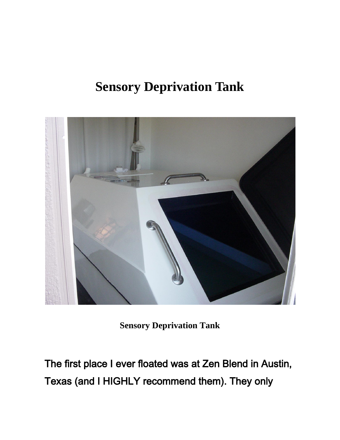# **Sensory Deprivation Tank**



**Sensory Deprivation Tank**

The first place I ever floated was at Zen Blend in Austin, Texas (and I HIGHLY recommend them). They only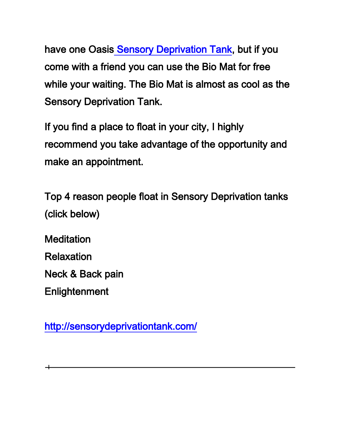have one Oasi[s Sensory Deprivation Tank,](http://www.zenblend.com/sdt.htm) but if you come with a friend you can use the Bio Mat for free while your waiting. The Bio Mat is almost as cool as the Sensory Deprivation Tank.

If you find a place to float in your city, I highly recommend you take advantage of the opportunity and make an appointment.

Top 4 reason people float in Sensory Deprivation tanks (click below)

**Meditation** Relaxation Neck & Back pain **Enlightenment** 

 $\overline{\phantom{0}}$ 

<http://sensorydeprivationtank.com/>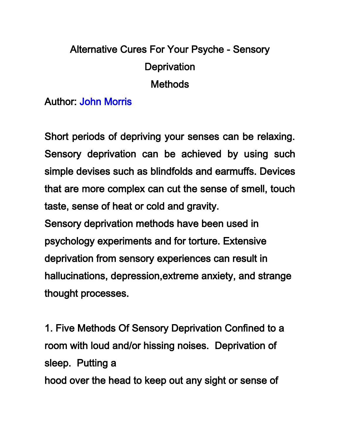# Alternative Cures For Your Psyche - Sensory **Deprivation Methods**

#### Author: John Morris

Short periods of depriving your senses can be relaxing. Sensory deprivation can be achieved by using such simple devises such as blindfolds and earmuffs. Devices that are more complex can cut the sense of smell, touch taste, sense of heat or cold and gravity.

Sensory deprivation methods have been used in psychology experiments and for torture. Extensive deprivation from sensory experiences can result in hallucinations, depression,extreme anxiety, and strange thought processes.

1. Five Methods Of Sensory Deprivation Confined to a room with loud and/or hissing noises. Deprivation of sleep. Putting a hood over the head to keep out any sight or sense of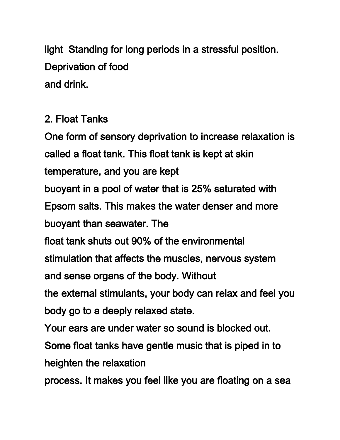light Standing for long periods in a stressful position. Deprivation of food and drink.

### 2. Float Tanks

One form of sensory deprivation to increase relaxation is called a float tank. This float tank is kept at skin temperature, and you are kept buoyant in a pool of water that is 25% saturated with Epsom salts. This makes the water denser and more buoyant than seawater. The float tank shuts out 90% of the environmental stimulation that affects the muscles, nervous system and sense organs of the body. Without the external stimulants, your body can relax and feel you body go to a deeply relaxed state. Your ears are under water so sound is blocked out. Some float tanks have gentle music that is piped in to heighten the relaxation

process. It makes you feel like you are floating on a sea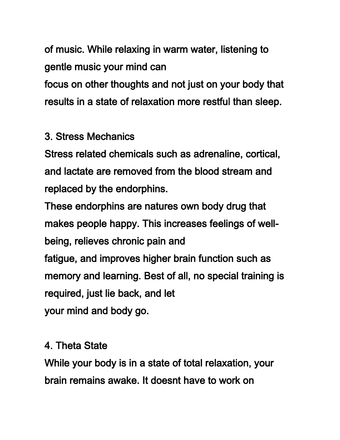of music. While relaxing in warm water, listening to gentle music your mind can

focus on other thoughts and not just on your body that results in a state of relaxation more restful than sleep.

## 3. Stress Mechanics

Stress related chemicals such as adrenaline, cortical, and lactate are removed from the blood stream and replaced by the endorphins.

These endorphins are natures own body drug that makes people happy. This increases feelings of wellbeing, relieves chronic pain and fatigue, and improves higher brain function such as memory and learning. Best of all, no special training is required, just lie back, and let your mind and body go.

#### 4. Theta State

While your body is in a state of total relaxation, your brain remains awake. It doesnt have to work on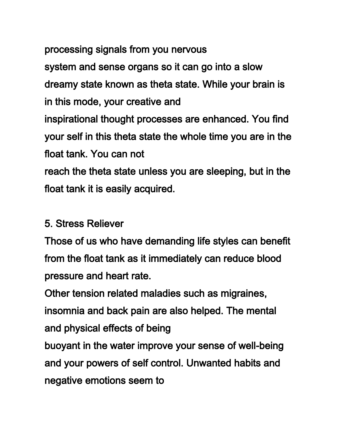processing signals from you nervous system and sense organs so it can go into a slow dreamy state known as theta state. While your brain is in this mode, your creative and inspirational thought processes are enhanced. You find your self in this theta state the whole time you are in the float tank. You can not reach the theta state unless you are sleeping, but in the float tank it is easily acquired.

### 5. Stress Reliever

Those of us who have demanding life styles can benefit from the float tank as it immediately can reduce blood pressure and heart rate.

Other tension related maladies such as migraines, insomnia and back pain are also helped. The mental and physical effects of being

buoyant in the water improve your sense of well-being and your powers of self control. Unwanted habits and negative emotions seem to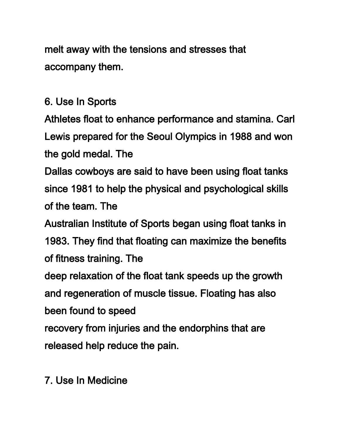melt away with the tensions and stresses that accompany them.

6. Use In Sports

Athletes float to enhance performance and stamina. Carl Lewis prepared for the Seoul Olympics in 1988 and won the gold medal. The

Dallas cowboys are said to have been using float tanks since 1981 to help the physical and psychological skills of the team. The

Australian Institute of Sports began using float tanks in

1983. They find that floating can maximize the benefits of fitness training. The

deep relaxation of the float tank speeds up the growth and regeneration of muscle tissue. Floating has also been found to speed

recovery from injuries and the endorphins that are released help reduce the pain.

7. Use In Medicine